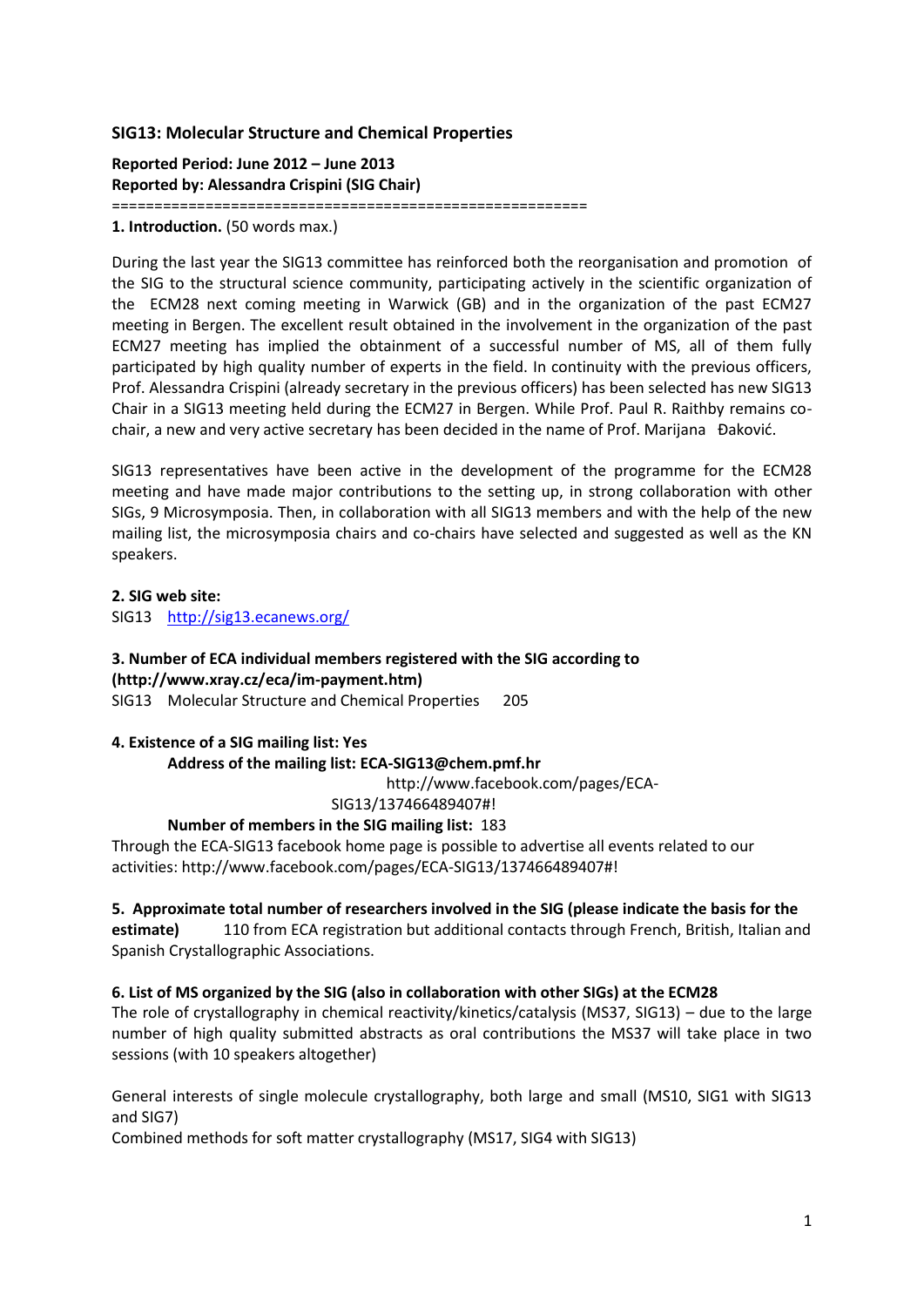## **SIG13: Molecular Structure and Chemical Properties**

**Reported Period: June 2012 – June 2013 Reported by: Alessandra Crispini (SIG Chair)**

========================================================

**1. Introduction.** (50 words max.)

During the last year the SIG13 committee has reinforced both the reorganisation and promotion of the SIG to the structural science community, participating actively in the scientific organization of the ECM28 next coming meeting in Warwick (GB) and in the organization of the past ECM27 meeting in Bergen. The excellent result obtained in the involvement in the organization of the past ECM27 meeting has implied the obtainment of a successful number of MS, all of them fully participated by high quality number of experts in the field. In continuity with the previous officers, Prof. Alessandra Crispini (already secretary in the previous officers) has been selected has new SIG13 Chair in a SIG13 meeting held during the ECM27 in Bergen. While Prof. Paul R. Raithby remains cochair, a new and very active secretary has been decided in the name of Prof. Marijana Đakovid.

SIG13 representatives have been active in the development of the programme for the ECM28 meeting and have made major contributions to the setting up, in strong collaboration with other SIGs, 9 Microsymposia. Then, in collaboration with all SIG13 members and with the help of the new mailing list, the microsymposia chairs and co-chairs have selected and suggested as well as the KN speakers.

#### **2. SIG web site:**

SIG13 <http://sig13.ecanews.org/>

### **3. Number of ECA individual members registered with the SIG according to [\(http://www.xray.cz/eca/im-payment.htm\)](http://www.xray.cz/eca/im-payment.htm)**

SIG13 Molecular Structure and Chemical Properties 205

#### **4. Existence of a SIG mailing list: Yes**

#### **Address of the mailing list: ECA-SIG13@chem.pmf.hr**

http://www.facebook.com/pages/ECA-

SIG13/137466489407#!

#### **Number of members in the SIG mailing list:** 183

Through the ECA-SIG13 facebook home page is possible to advertise all events related to our activities: http://www.facebook.com/pages/ECA-SIG13/137466489407#!

#### **5. Approximate total number of researchers involved in the SIG (please indicate the basis for the**

**estimate)** 110 from ECA registration but additional contacts through French, British, Italian and Spanish Crystallographic Associations.

#### **6. List of MS organized by the SIG (also in collaboration with other SIGs) at the ECM28**

The role of crystallography in chemical reactivity/kinetics/catalysis (MS37, SIG13) – due to the large number of high quality submitted abstracts as oral contributions the MS37 will take place in two sessions (with 10 speakers altogether)

General interests of single molecule crystallography, both large and small (MS10, SIG1 with SIG13 and SIG7)

Combined methods for soft matter crystallography (MS17, SIG4 with SIG13)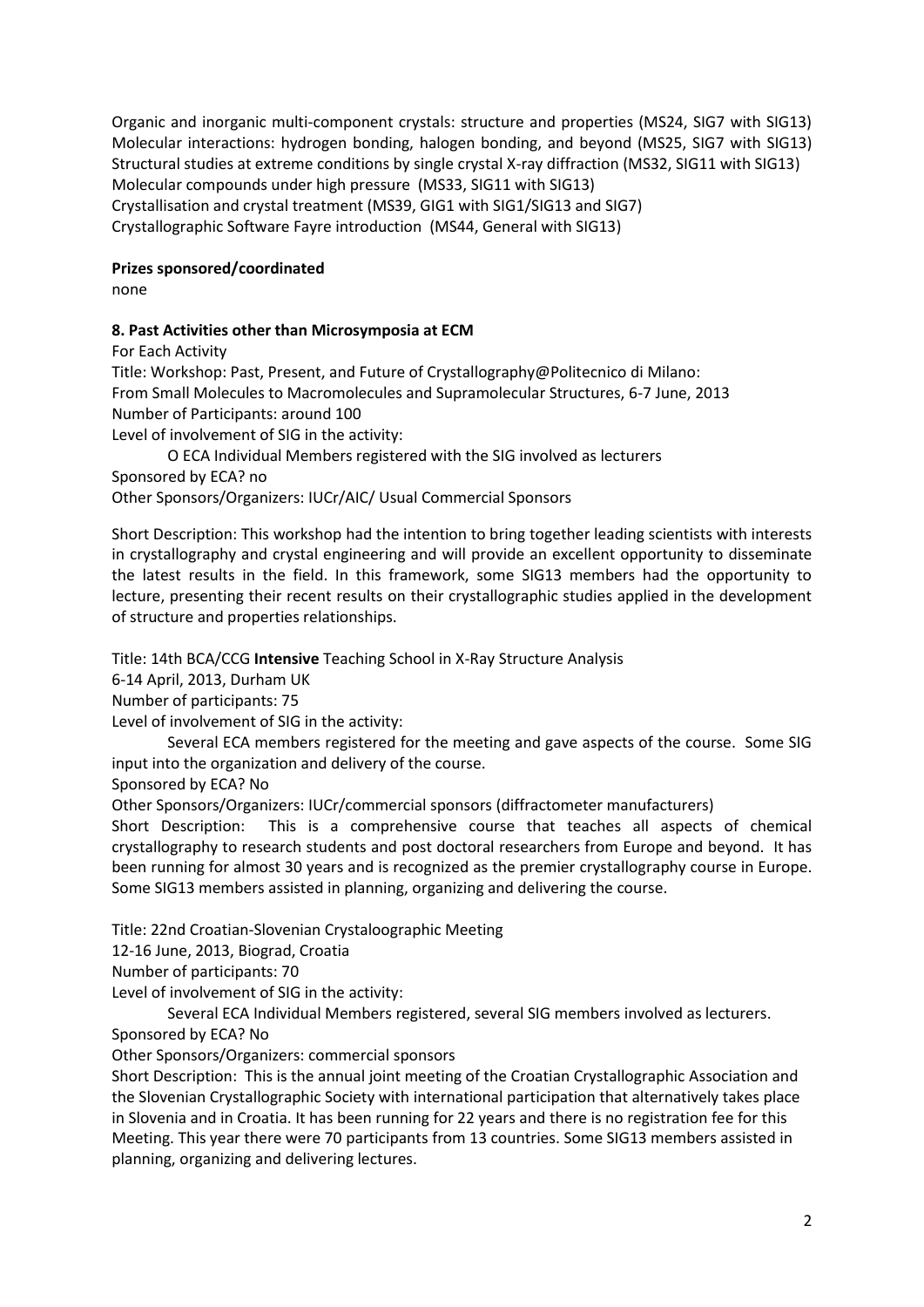Organic and inorganic multi-component crystals: structure and properties (MS24, SIG7 with SIG13) Molecular interactions: hydrogen bonding, halogen bonding, and beyond (MS25, SIG7 with SIG13) Structural studies at extreme conditions by single crystal X-ray diffraction (MS32, SIG11 with SIG13) Molecular compounds under high pressure (MS33, SIG11 with SIG13) Crystallisation and crystal treatment (MS39, GIG1 with SIG1/SIG13 and SIG7) Crystallographic Software Fayre introduction (MS44, General with SIG13)

## **Prizes sponsored/coordinated**

none

# **8. Past Activities other than Microsymposia at ECM**

For Each Activity

Title: Workshop: Past, Present, and Future of Crystallography@Politecnico di Milano: From Small Molecules to Macromolecules and Supramolecular Structures, 6-7 June, 2013 Number of Participants: around 100

Level of involvement of SIG in the activity:

O ECA Individual Members registered with the SIG involved as lecturers Sponsored by ECA? no

Other Sponsors/Organizers: IUCr/AIC/ Usual Commercial Sponsors

Short Description: This workshop had the intention to bring together leading scientists with interests in crystallography and crystal engineering and will provide an excellent opportunity to disseminate the latest results in the field. In this framework, some SIG13 members had the opportunity to lecture, presenting their recent results on their crystallographic studies applied in the development of structure and properties relationships.

Title: 14th BCA/CCG **Intensive** Teaching School in X-Ray Structure Analysis

6-14 April, 2013, Durham UK

Number of participants: 75

Level of involvement of SIG in the activity:

Several ECA members registered for the meeting and gave aspects of the course. Some SIG input into the organization and delivery of the course.

Sponsored by ECA? No

Other Sponsors/Organizers: IUCr/commercial sponsors (diffractometer manufacturers)

Short Description: This is a comprehensive course that teaches all aspects of chemical crystallography to research students and post doctoral researchers from Europe and beyond. It has been running for almost 30 years and is recognized as the premier crystallography course in Europe. Some SIG13 members assisted in planning, organizing and delivering the course.

Title: 22nd Croatian-Slovenian Crystaloographic Meeting

12-16 June, 2013, Biograd, Croatia

Number of participants: 70

Level of involvement of SIG in the activity:

Several ECA Individual Members registered, several SIG members involved as lecturers.

Sponsored by ECA? No

Other Sponsors/Organizers: commercial sponsors

Short Description: This is the annual joint meeting of the Croatian Crystallographic Association and the Slovenian Crystallographic Society with international participation that alternatively takes place in Slovenia and in Croatia. It has been running for 22 years and there is no registration fee for this Meeting. This year there were 70 participants from 13 countries. Some SIG13 members assisted in planning, organizing and delivering lectures.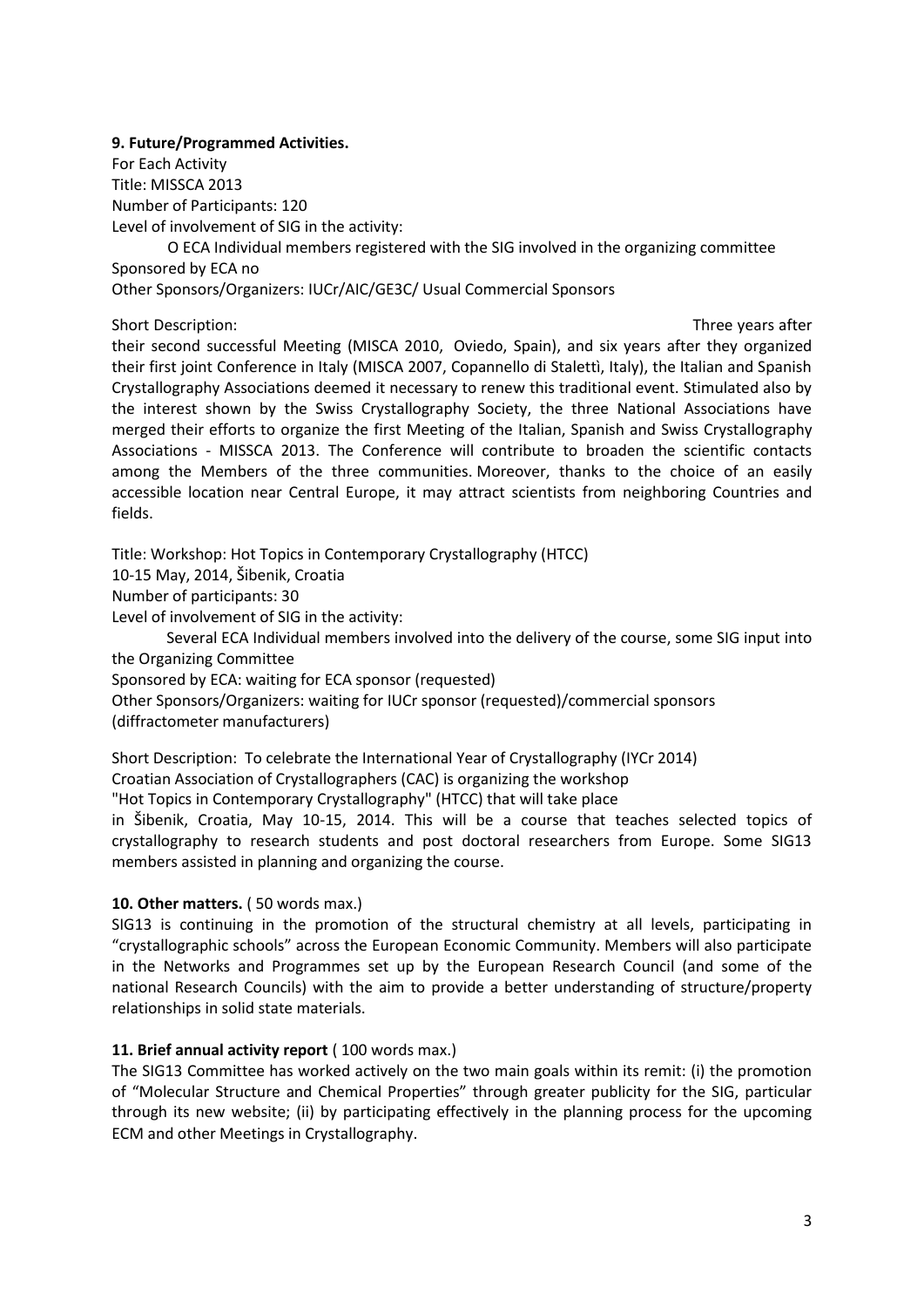**9. Future/Programmed Activities.**

For Each Activity Title: MISSCA 2013 Number of Participants: 120 Level of involvement of SIG in the activity:

O ECA Individual members registered with the SIG involved in the organizing committee Sponsored by ECA no

Other Sponsors/Organizers: IUCr/AIC/GE3C/ Usual Commercial Sponsors

Short Description: Three years after the internal Meeting (MISCA 2010, Three years after the internal Meeting (MISCA 2010, Three years after

their second successful Meeting (MISCA 2010, Oviedo, Spain), and six years after they organized their first joint Conference in Italy (MISCA 2007, Copannello di Stalettì, Italy), the Italian and Spanish Crystallography Associations deemed it necessary to renew this traditional event. Stimulated also by the interest shown by the Swiss Crystallography Society, the three National Associations have merged their efforts to organize the first Meeting of the Italian, Spanish and Swiss Crystallography Associations - MISSCA 2013. The Conference will contribute to broaden the scientific contacts among the Members of the three communities. Moreover, thanks to the choice of an easily accessible location near Central Europe, it may attract scientists from neighboring Countries and fields.

Title: Workshop: Hot Topics in Contemporary Crystallography (HTCC)

10-15 May, 2014, Šibenik, Croatia

Number of participants: 30

Level of involvement of SIG in the activity:

Several ECA Individual members involved into the delivery of the course, some SIG input into the Organizing Committee

Sponsored by ECA: waiting for ECA sponsor (requested)

Other Sponsors/Organizers: waiting for IUCr sponsor (requested)/commercial sponsors (diffractometer manufacturers)

Short Description: To celebrate the International Year of Crystallography (IYCr 2014)

Croatian Association of Crystallographers (CAC) is organizing the workshop

"Hot Topics in Contemporary Crystallography" (HTCC) that will take place

in Šibenik, Croatia, May 10-15, 2014. This will be a course that teaches selected topics of crystallography to research students and post doctoral researchers from Europe. Some SIG13 members assisted in planning and organizing the course.

## **10. Other matters.** (50 words max.)

SIG13 is continuing in the promotion of the structural chemistry at all levels, participating in "crystallographic schools" across the European Economic Community. Members will also participate in the Networks and Programmes set up by the European Research Council (and some of the national Research Councils) with the aim to provide a better understanding of structure/property relationships in solid state materials.

## 11. Brief annual activity report (100 words max.)

The SIG13 Committee has worked actively on the two main goals within its remit: (i) the promotion of "Molecular Structure and Chemical Properties" through greater publicity for the SIG, particular through its new website; (ii) by participating effectively in the planning process for the upcoming ECM and other Meetings in Crystallography.